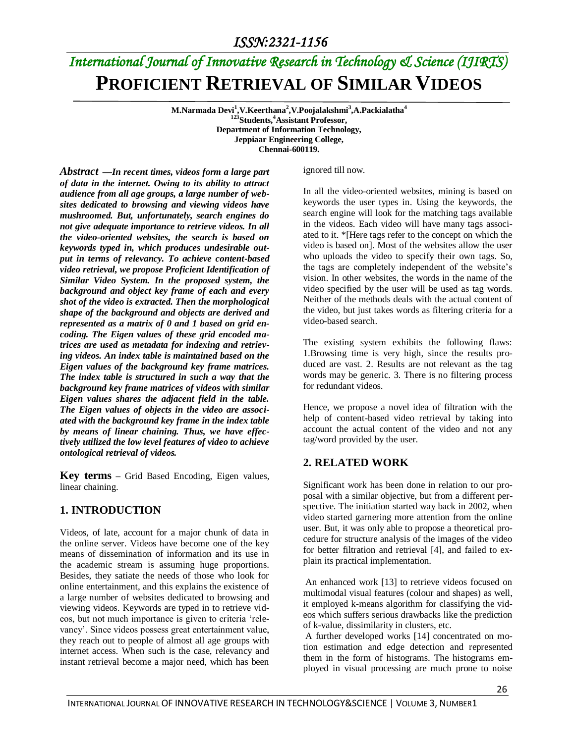# *International Journal of Innovative Research in Technology & Science (IJIRTS)* **PROFICIENT RETRIEVAL OF SIMILAR VIDEOS**

**M.Narmada Devi<sup>1</sup> ,V.Keerthana<sup>2</sup> ,V.Poojalakshmi<sup>3</sup> ,A.Packialatha<sup>4</sup> <sup>123</sup>Students,<sup>4</sup>Assistant Professor, Department of Information Technology, Jeppiaar Engineering College, Chennai-600119.**

*Abstract —In recent times, videos form a large part of data in the internet. Owing to its ability to attract audience from all age groups, a large number of websites dedicated to browsing and viewing videos have mushroomed. But, unfortunately, search engines do not give adequate importance to retrieve videos. In all the video-oriented websites, the search is based on keywords typed in, which produces undesirable output in terms of relevancy. To achieve content-based video retrieval, we propose Proficient Identification of Similar Video System. In the proposed system, the background and object key frame of each and every shot of the video is extracted. Then the morphological shape of the background and objects are derived and represented as a matrix of 0 and 1 based on grid encoding. The Eigen values of these grid encoded matrices are used as metadata for indexing and retrieving videos. An index table is maintained based on the Eigen values of the background key frame matrices. The index table is structured in such a way that the background key frame matrices of videos with similar Eigen values shares the adjacent field in the table. The Eigen values of objects in the video are associated with the background key frame in the index table by means of linear chaining. Thus, we have effectively utilized the low level features of video to achieve ontological retrieval of videos.*

**Key terms –** Grid Based Encoding, Eigen values, linear chaining.

### **1. INTRODUCTION**

Videos, of late, account for a major chunk of data in the online server. Videos have become one of the key means of dissemination of information and its use in the academic stream is assuming huge proportions. Besides, they satiate the needs of those who look for online entertainment, and this explains the existence of a large number of websites dedicated to browsing and viewing videos. Keywords are typed in to retrieve videos, but not much importance is given to criteria 'relevancy'. Since videos possess great entertainment value, they reach out to people of almost all age groups with internet access. When such is the case, relevancy and instant retrieval become a major need, which has been ignored till now.

In all the video-oriented websites, mining is based on keywords the user types in. Using the keywords, the search engine will look for the matching tags available in the videos. Each video will have many tags associated to it. \*[Here tags refer to the concept on which the video is based on]. Most of the websites allow the user who uploads the video to specify their own tags. So, the tags are completely independent of the website's vision. In other websites, the words in the name of the video specified by the user will be used as tag words. Neither of the methods deals with the actual content of the video, but just takes words as filtering criteria for a video-based search.

The existing system exhibits the following flaws: 1.Browsing time is very high, since the results produced are vast. 2. Results are not relevant as the tag words may be generic. 3. There is no filtering process for redundant videos.

Hence, we propose a novel idea of filtration with the help of content-based video retrieval by taking into account the actual content of the video and not any tag/word provided by the user.

### **2. RELATED WORK**

Significant work has been done in relation to our proposal with a similar objective, but from a different perspective. The initiation started way back in 2002, when video started garnering more attention from the online user. But, it was only able to propose a theoretical procedure for structure analysis of the images of the video for better filtration and retrieval [4], and failed to explain its practical implementation.

An enhanced work [13] to retrieve videos focused on multimodal visual features (colour and shapes) as well, it employed k-means algorithm for classifying the videos which suffers serious drawbacks like the prediction of k-value, dissimilarity in clusters, etc.

A further developed works [14] concentrated on motion estimation and edge detection and represented them in the form of histograms. The histograms employed in visual processing are much prone to noise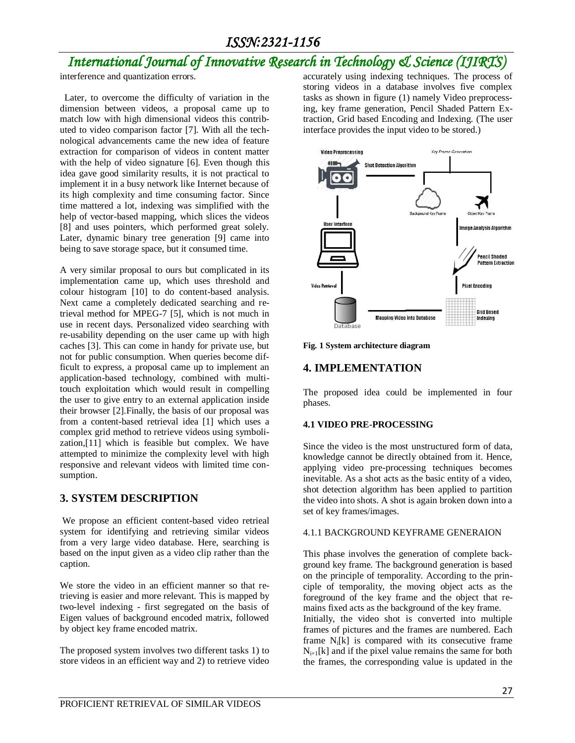# *International Journal of Innovative Research in Technology & Science (IJIRTS)*

interference and quantization errors.

 Later, to overcome the difficulty of variation in the dimension between videos, a proposal came up to match low with high dimensional videos this contributed to video comparison factor [7]. With all the technological advancements came the new idea of feature extraction for comparison of videos in content matter with the help of video signature [6]. Even though this idea gave good similarity results, it is not practical to implement it in a busy network like Internet because of its high complexity and time consuming factor. Since time mattered a lot, indexing was simplified with the help of vector-based mapping, which slices the videos [8] and uses pointers, which performed great solely. Later, dynamic binary tree generation [9] came into being to save storage space, but it consumed time.

A very similar proposal to ours but complicated in its implementation came up, which uses threshold and colour histogram [10] to do content-based analysis. Next came a completely dedicated searching and retrieval method for MPEG-7 [5], which is not much in use in recent days. Personalized video searching with re-usability depending on the user came up with high caches [3]. This can come in handy for private use, but not for public consumption. When queries become difficult to express, a proposal came up to implement an application-based technology, combined with multitouch exploitation which would result in compelling the user to give entry to an external application inside their browser [2].Finally, the basis of our proposal was from a content-based retrieval idea [1] which uses a complex grid method to retrieve videos using symbolization,[11] which is feasible but complex. We have attempted to minimize the complexity level with high responsive and relevant videos with limited time consumption.

### **3. SYSTEM DESCRIPTION**

We propose an efficient content-based video retrieal system for identifying and retrieving similar videos from a very large video database. Here, searching is based on the input given as a video clip rather than the caption.

We store the video in an efficient manner so that retrieving is easier and more relevant. This is mapped by two-level indexing - first segregated on the basis of Eigen values of background encoded matrix, followed by object key frame encoded matrix.

The proposed system involves two different tasks 1) to store videos in an efficient way and 2) to retrieve video accurately using indexing techniques. The process of storing videos in a database involves five complex tasks as shown in figure (1) namely Video preprocessing, key frame generation, Pencil Shaded Pattern Extraction, Grid based Encoding and Indexing. (The user interface provides the input video to be stored.)



**Fig. 1 System architecture diagram**

### **4. IMPLEMENTATION**

The proposed idea could be implemented in four phases.

#### **4.1 VIDEO PRE-PROCESSING**

Since the video is the most unstructured form of data, knowledge cannot be directly obtained from it. Hence, applying video pre-processing techniques becomes inevitable. As a shot acts as the basic entity of a video, shot detection algorithm has been applied to partition the video into shots. A shot is again broken down into a set of key frames/images.

#### 4.1.1 BACKGROUND KEYFRAME GENERAION

This phase involves the generation of complete background key frame. The background generation is based on the principle of temporality. According to the principle of temporality, the moving object acts as the foreground of the key frame and the object that remains fixed acts as the background of the key frame. Initially, the video shot is converted into multiple frames of pictures and the frames are numbered. Each frame  $N_i[k]$  is compared with its consecutive frame  $N_{i+1}[k]$  and if the pixel value remains the same for both the frames, the corresponding value is updated in the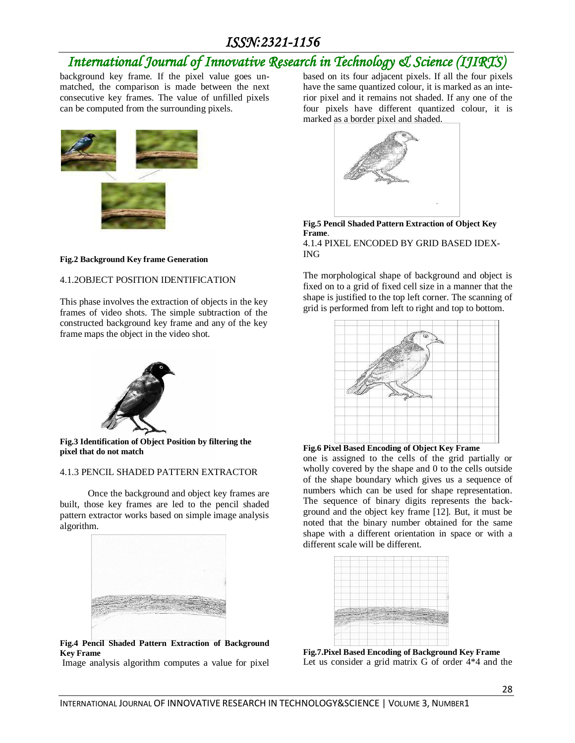# *International Journal of Innovative Research in Technology & Science (IJIRTS)*

background key frame. If the pixel value goes unmatched, the comparison is made between the next consecutive key frames. The value of unfilled pixels can be computed from the surrounding pixels.



#### **Fig.2 Background Key frame Generation**

#### 4.1.2OBJECT POSITION IDENTIFICATION

This phase involves the extraction of objects in the key frames of video shots. The simple subtraction of the constructed background key frame and any of the key frame maps the object in the video shot.



**Fig.3 Identification of Object Position by filtering the pixel that do not match**

#### 4.1.3 PENCIL SHADED PATTERN EXTRACTOR

 Once the background and object key frames are built, those key frames are led to the pencil shaded pattern extractor works based on simple image analysis algorithm.



**Fig.4 Pencil Shaded Pattern Extraction of Background Key Frame**

Image analysis algorithm computes a value for pixel

based on its four adjacent pixels. If all the four pixels have the same quantized colour, it is marked as an interior pixel and it remains not shaded. If any one of the four pixels have different quantized colour, it is marked as a border pixel and shaded.



**Fig.5 Pencil Shaded Pattern Extraction of Object Key Frame**. 4.1.4 PIXEL ENCODED BY GRID BASED IDEX-ING

The morphological shape of background and object is fixed on to a grid of fixed cell size in a manner that the shape is justified to the top left corner. The scanning of grid is performed from left to right and top to bottom.



**Fig.6 Pixel Based Encoding of Object Key Frame**

one is assigned to the cells of the grid partially or wholly covered by the shape and 0 to the cells outside of the shape boundary which gives us a sequence of numbers which can be used for shape representation. The sequence of binary digits represents the background and the object key frame [12]. But, it must be noted that the binary number obtained for the same shape with a different orientation in space or with a different scale will be different.



**Fig.7.Pixel Based Encoding of Background Key Frame** Let us consider a grid matrix G of order 4\*4 and the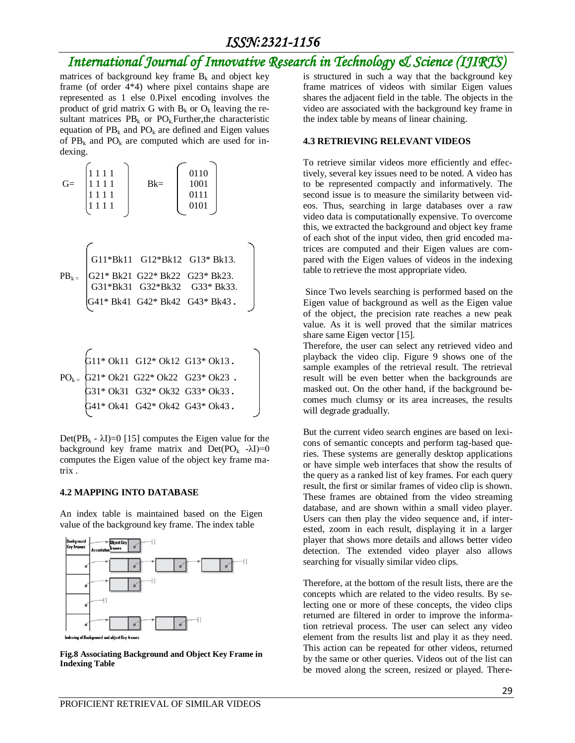# *International Journal of Innovative Research in Technology & Science (IJIRTS)*

matrices of background key frame  $B_k$  and object key frame (of order 4\*4) where pixel contains shape are represented as 1 else 0.Pixel encoding involves the product of grid matrix G with  $B_k$  or  $O_k$  leaving the resultant matrices  $PB_k$  or  $PO_k$ . Further, the characteristic equation of  $PB_k$  and  $PO_k$  are defined and Eigen values of  $PB_k$  and  $PO_k$  are computed which are used for indexing.

$$
G = \begin{bmatrix} 1 & 1 & 1 & 1 \\ 1 & 1 & 1 & 1 \\ 1 & 1 & 1 & 1 \\ 1 & 1 & 1 & 1 \end{bmatrix} \qquad Bk = \begin{bmatrix} 0110 \\ 1001 \\ 0111 \\ 0101 \end{bmatrix}
$$
  
\n
$$
PB_{k} = \begin{bmatrix} G11*Bk11 & G12*Bk12 & G13*Bk13. \\ G21*Bk21 & G22*Bk22 & G23*Bk23. \\ G31*Bk31 & G32*Bk32 & G33*Bk33. \\ G41*Bk41 & G42*Bk42 & G43*Bk43. \end{bmatrix}
$$
  
\n
$$
G11*Ok11 & G12*Ok12 & G13*Ok13. \qquad \qquad
$$

$$
PO_{k} = \begin{cases} G21*Ok21 & G22*Ok22 & G23*Ok23 \\ G31*Ok31 & G32*Ok32 & G33*Ok33 \\ G41*Ok41 & G42*Ok42 & G43*Ok43 \end{cases}
$$

Det( $PB_k - \lambda I$ )=0 [15] computes the Eigen value for the background key frame matrix and  $Det(PO_k - \lambda I)=0$ computes the Eigen value of the object key frame matrix .

#### **4.2 MAPPING INTO DATABASE**

An index table is maintained based on the Eigen value of the background key frame. The index table



Indexing of Background and object Key frames

**Fig.8 Associating Background and Object Key Frame in Indexing Table**

is structured in such a way that the background key frame matrices of videos with similar Eigen values shares the adjacent field in the table. The objects in the video are associated with the background key frame in the index table by means of linear chaining.

#### **4.3 RETRIEVING RELEVANT VIDEOS**

To retrieve similar videos more efficiently and effectively, several key issues need to be noted. A video has to be represented compactly and informatively. The second issue is to measure the similarity between videos. Thus, searching in large databases over a raw video data is computationally expensive. To overcome this, we extracted the background and object key frame of each shot of the input video, then grid encoded matrices are computed and their Eigen values are compared with the Eigen values of videos in the indexing table to retrieve the most appropriate video.

Since Two levels searching is performed based on the Eigen value of background as well as the Eigen value of the object, the precision rate reaches a new peak value. As it is well proved that the similar matrices share same Eigen vector [15].

Therefore, the user can select any retrieved video and playback the video clip. Figure 9 shows one of the sample examples of the retrieval result. The retrieval result will be even better when the backgrounds are masked out. On the other hand, if the background becomes much clumsy or its area increases, the results will degrade gradually.

But the current video search engines are based on lexicons of semantic concepts and perform tag-based queries. These systems are generally desktop applications or have simple web interfaces that show the results of the query as a ranked list of key frames. For each query result, the first or similar frames of video clip is shown. These frames are obtained from the video streaming database, and are shown within a small video player. Users can then play the video sequence and, if interested, zoom in each result, displaying it in a larger player that shows more details and allows better video detection. The extended video player also allows searching for visually similar video clips.

Therefore, at the bottom of the result lists, there are the concepts which are related to the video results. By selecting one or more of these concepts, the video clips returned are filtered in order to improve the information retrieval process. The user can select any video element from the results list and play it as they need. This action can be repeated for other videos, returned by the same or other queries. Videos out of the list can be moved along the screen, resized or played. There-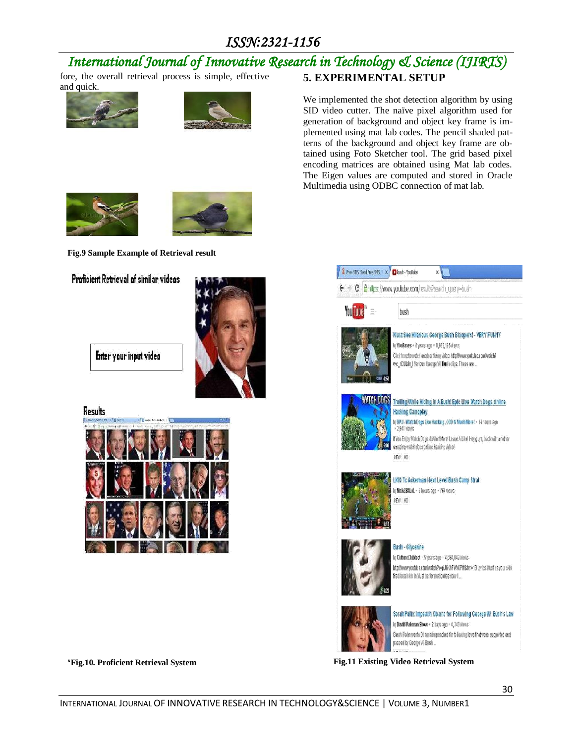#### *International Journal of Innovative Research in Technology & Science (IJIRTS)* fore, the overall retrieval process is simple, effective **5. EXPERIMENTAL SETUP**

and quick.





We implemented the shot detection algorithm by using SID video cutter. The naïve pixel algorithm used for generation of background and object key frame is implemented using mat lab codes. The pencil shaded patterns of the background and object key frame are obtained using Foto Sketcher tool. The grid based pixel encoding matrices are obtained using Mat lab codes. The Eigen values are computed and stored in Oracle Multimedia using ODBC connection of mat lab.





**Fig.9 Sample Example of Retrieval result**

### Proficient Retrieval of similar videos



Enter your input video

Results



**'Fig.10. Proficient Retrieval System Fig.11 Existing Video Retrieval System**